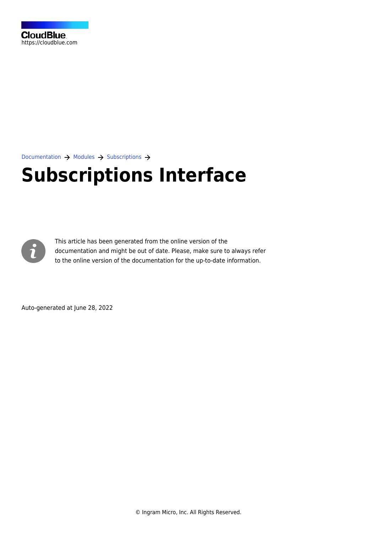

[Documentation](https://connect.cloudblue.com/documentation)  $\rightarrow$  [Modules](https://connect.cloudblue.com/community/modules/)  $\rightarrow$  [Subscriptions](https://connect.cloudblue.com/community/modules/subscriptions/)  $\rightarrow$ 

# **[Subscriptions Interface](https://connect.cloudblue.com/community/modules/subscriptions/user-interface/)**



This article has been generated from the online version of the documentation and might be out of date. Please, make sure to always refer to the online version of the documentation for the up-to-date information.

Auto-generated at June 28, 2022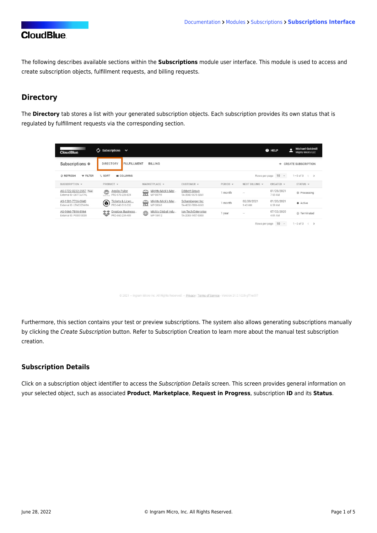The following describes available sections within the **Subscriptions** module user interface. This module is used to access and create subscription objects, fulfillment requests, and billing requests.

## **Directory**

The **Directory** tab stores a list with your generated subscription objects. Each subscription provides its own status that is regulated by fulfillment requests via the corresponding section.

| <b>CloudBlue</b>                                  | $\bigcirc$ Subscriptions $\vee$                                |                                     |                                          |          |                       | <b>O</b> HELP              | <b>Michael Goldmill</b><br>-<br><b>Mighty Mick's LLC</b> |
|---------------------------------------------------|----------------------------------------------------------------|-------------------------------------|------------------------------------------|----------|-----------------------|----------------------------|----------------------------------------------------------|
| Subscriptions <sup>o</sup>                        | <b>DIRECTORY</b><br><b>FULFILLMENT</b>                         | <b>BILLING</b>                      |                                          |          |                       | $\div$                     | <b>CREATE SUBSCRIPTION</b>                               |
| C REFRESH<br><b>FILTER</b>                        | $t_1$ SORT<br><b>III</b> COLUMNS                               |                                     |                                          |          | Rows per page         | $10 -$                     | $1-3$ of $3 \leftarrow \rightarrow$                      |
| SUBSCRIPTION -                                    | PRODUCT -                                                      | MARKETPLACE -                       | CUSTOMER -                               | PERIOD - | NEXT BILLING -        | CREATED ¥                  | $STATUS$ $\sim$                                          |
| AS-3722-0232-2957 Test<br>External ID: E6TT3JI7YL | Apollo Pulse<br>$\bf \Phi$<br>PRD-578-226-824<br>$\frac{1}{2}$ | Mighty Mick's Mar<br>壸<br>MP-80791  | Dibbert Group<br>TA-3540-9575-5861       | 1 month  | $\sim$                | 01/28/2021<br>7:59 AM      | <b>O</b> Processing                                      |
| AS-1501-7706-0940<br>External ID: LTNC3ZNA9A      | lickets & Licen<br>⊛<br>PRD-640-516-332                        | Mighty Mick's Mar<br>ĥ<br>MP-38661  | Schamberger Inc<br>TA-4650-7886-6663     | 1 month  | 02/20/2021<br>9:43 AM | 01/20/2021<br>6:59 AM      | Active                                                   |
| AS-9666-7896-8964<br>External ID: PO0010009       | Dropbox Business<br>攀<br>PRD-660-234-409                       | Mick's Global Indu<br>⊕<br>MP-18412 | Ion Tech Enterprise<br>TA-2083-1457-0303 | 1 year   | $\sim$                | 07/02/2020<br>4:01 AM      | © Terminated                                             |
|                                                   |                                                                |                                     |                                          |          |                       | Rows per page 10<br>$\sim$ | $1-3$ of $3 \leq$ >                                      |

@ 2021 - Ingram Micro Inc. All Rights Reserved. - Privacy | Terms of Service - Version 21.0.1025-gff1ed97

Furthermore, this section contains your test or preview subscriptions. The system also allows generating subscriptions manually by clicking the Create Subscription button. Refer to [Subscription Creation](https://connect.cloudblue.com/community/modules/subscriptions/subscription-creation/) to learn more about the manual test subscription creation.

#### **Subscription Details**

Click on a subscription object identifier to access the Subscription Details screen. This screen provides general information on your selected object, such as associated **Product**, **Marketplace**, **Request in Progress**, subscription **ID** and its **Status**.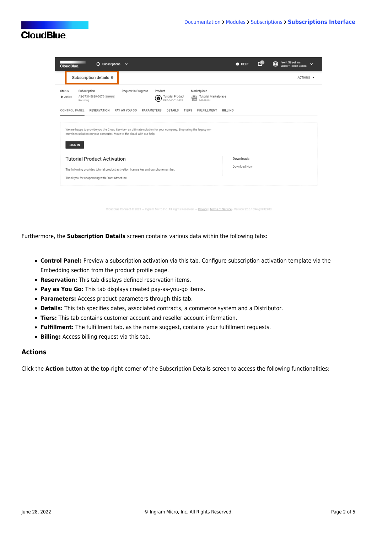| $\omega$ Subscriptions<br><b>CloudBlue</b>                                                                                                                                                                                                                                                                                                                                                                                                                                                                                                                                                                        | $\sim$ |  |  | @ HELP                    |  | <b>Front Street Inc</b><br>⊕<br>$\check{ }$<br>Vendor - Robert Ralboa |  |
|-------------------------------------------------------------------------------------------------------------------------------------------------------------------------------------------------------------------------------------------------------------------------------------------------------------------------------------------------------------------------------------------------------------------------------------------------------------------------------------------------------------------------------------------------------------------------------------------------------------------|--------|--|--|---------------------------|--|-----------------------------------------------------------------------|--|
| Subscription details @                                                                                                                                                                                                                                                                                                                                                                                                                                                                                                                                                                                            |        |  |  |                           |  | ACTIONS -                                                             |  |
| Request In Progress<br>Subscription<br>Product<br>Marketplace<br><b>Status</b><br><b>Tutorial Marketplace</b><br>AS-3731-5839-9079 Preview<br><b>Tutorial Product</b><br>盒<br>Active<br>6<br>MP-38661<br>Recurring<br>PRD-640-516-332<br><b>TIERS</b><br><b>CONTROL PANEL</b><br><b>RESERVATION</b><br>PAY AS YOU GO<br><b>PARAMETERS</b><br><b>FULFILLMENT</b><br><b>BILLING</b><br><b>DETAILS</b><br>We are happy to provide you the Cloud Service - an ultimate solution for your company. Stop using the legacy on-<br>premises solution on your computer. Move to the cloud with our help.<br><b>SIGN IN</b> |        |  |  |                           |  |                                                                       |  |
| <b>Tutorial Product Activation</b><br>The following provides tutorial product activation license key and our phone number.<br>Thank you for cooperating with Front Street Inc!                                                                                                                                                                                                                                                                                                                                                                                                                                    |        |  |  | Downloads<br>Download Now |  |                                                                       |  |

ct © 2021 - Ingram Micro Inc. All Rights Reserved. - Privacy | Terms of Service - Version 22.0.1894-gd93298

Furthermore, the **Subscription Details** screen contains various data within the following tabs:

- **Control Panel:** Preview a subscription activation via this tab. Configure subscription activation template via the [Embedding](https://connect.cloudblue.com/community/modules/products/embedding/) section from the product profile page.
- **Reservation:** This tab displays defined [reservation items](https://connect.cloudblue.com/community/modules/products/items/).
- **Pay as You Go:** This tab displays created [pay-as-you-go items.](https://connect.cloudblue.com/community/modules/products/items/)
- **Parameters:** Access product parameters through this tab.
- **Details:** This tab specifies dates, associated contracts, a commerce system and a Distributor.
- **Tiers:** This tab contains customer account and reseller account information.
- **Fulfillment:** The fulfillment tab, as the name suggest, contains your fulfillment requests.
- **Billing:** Access billing request via this tab.

#### **Actions**

Click the **Action** button at the top-right corner of the Subscription Details screen to access the following functionalities: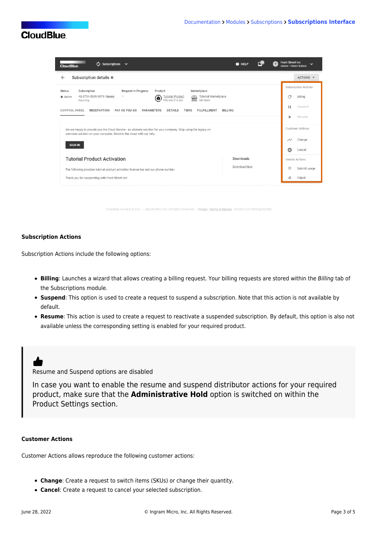| $\mathcal{C}$ Subscriptions $\vee$<br><b>CloudBlue</b>                                                                                                                                                            | @ HELP         |                         | <b>Front Street Inc</b><br>⊕   | $\checkmark$<br>Vendor · Robert Balboa |
|-------------------------------------------------------------------------------------------------------------------------------------------------------------------------------------------------------------------|----------------|-------------------------|--------------------------------|----------------------------------------|
| Subscription details $\odot$<br>$\leftarrow$                                                                                                                                                                      |                |                         |                                | ACTIONS -                              |
| Request In Progress<br>Marketplace<br>Subscription<br>Product<br><b>Status</b><br>AS-3731-5839-9079 Preview<br>Tutorial Marketplace<br><b>Tutorial Product</b><br>需<br>Active<br>6<br>MP-38661<br>PRD-640-516-332 |                |                         | C                              | <b>Subscription Actions</b><br>Billing |
| Recurring<br><b>CONTROL PANEL</b><br><b>RESERVATION</b><br>PAY AS YOU GO<br>PARAMETERS<br><b>DETAILS</b><br><b>TIERS</b><br><b>FULFILLMENT</b>                                                                    | <b>BILLING</b> |                         | н                              | Suspend<br>Resume                      |
| We are happy to provide you the Cloud Service - an ultimate solution for your company. Stop using the legacy on-<br>premises solution on your computer. Move to the cloud with our help.                          |                | <b>Customer Actions</b> |                                |                                        |
| <b>SIGN IN</b>                                                                                                                                                                                                    |                |                         | $\rightsquigarrow$<br>$\Omega$ | Change<br>Cancel                       |
| <b>Tutorial Product Activation</b>                                                                                                                                                                                | Downloads      |                         |                                | Vendor Actions                         |
| The following provides tutorial product activation license key and our phone number.<br>Thank you for cooperating with Front Street Inc!                                                                          | Download Now   |                         | О.                             | Submit usage<br>Adjust                 |
|                                                                                                                                                                                                                   |                |                         |                                |                                        |

Micro Inc. All Rights Reserved. — <u>Privacy</u> | Terms of Service - Version 22.0.1894-g

#### **Subscription Actions**

Subscription Actions include the following options:

- **Billing**: Launches a wizard that allows creating a billing request. Your billing requests are stored within the Billing tab of the Subscriptions module.
- **Suspend**: This option is used to create a request to suspend a subscription. Note that this action is not available by default.
- **Resume**: This action is used to create a request to reactivate a suspended subscription. By default, this option is also not available unless the corresponding setting is enabled for your required product.

# ď

Resume and Suspend options are disabled

In case you want to enable the resume and suspend distributor actions for your required product, make sure that the **Administrative Hold** option is switched on within the [Product Settings](https://connect.cloudblue.com/community/modules/products/capabilities/) section.

#### **Customer Actions**

Customer Actions allows reproduce the following customer actions:

- **Change**: Create a request to switch items (SKUs) or change their quantity.
- **Cancel**: Create a request to cancel your selected subscription.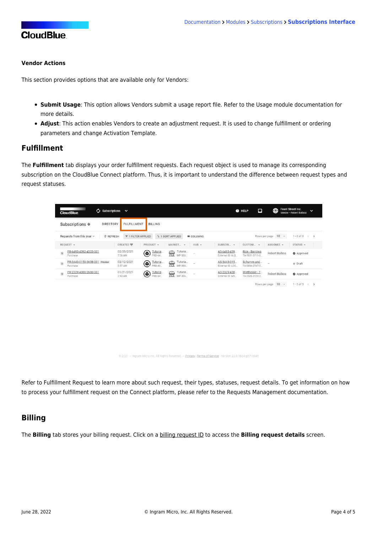#### **Vendor Actions**

This section provides options that are available only for Vendors:

- **Submit Usage**: This option allows Vendors submit a usage report file. Refer to the [Usage module](https://connect.cloudblue.com/community/modules/usage_module/) documentation for more details.
- **Adjust**: This action enables Vendors to create an adjustment request. It is used to change fulfillment or ordering parameters and change Activation Template.

### **Fulfillment**

The **Fulfillment** tab displays your order fulfillment requests. Each request object is used to manage its corresponding subscription on the CloudBlue Connect platform. Thus, it is important to understand the difference between request types and request statuses.

| $\omega$ Subscriptions<br><b>CloudBlue</b>                                                                                                                               | $\checkmark$                                                                            | ⊕<br>Ω<br><b>O</b> HELP                                                              | Front Street Inc.<br>$\check{ }$<br>Vendor · Robert Balboa |  |  |  |
|--------------------------------------------------------------------------------------------------------------------------------------------------------------------------|-----------------------------------------------------------------------------------------|--------------------------------------------------------------------------------------|------------------------------------------------------------|--|--|--|
| Subscriptions <sup>o</sup><br><b>DIRECTORY</b>                                                                                                                           | <b>FULFILLMENT</b><br><b>BILLING</b>                                                    |                                                                                      |                                                            |  |  |  |
| Rows per page 10 -<br>$1-3$ of $3 \leftarrow \rightarrow$<br>Requests from this year $\sim$<br>1 1 SORT APPLIED<br><b>III</b> COLUMNS<br>₹ 1 FILTER APPLIED<br>C REFRESH |                                                                                         |                                                                                      |                                                            |  |  |  |
| REOUEST -                                                                                                                                                                | $HUB -$<br>$CREATED =$<br>MARKET. T<br>PRODUCT -                                        | SUBSCRI_ -<br>ASSIGNEE -<br>CUSTOM                                                   | STATUS                                                     |  |  |  |
| PR-6493-4392-4303-001<br>$\overline{n}$<br>Purchase                                                                                                                      | 02/25/2021<br>Tutoria<br>Tutoria<br>侖<br>◉<br>PRD-64.<br>MP-386<br>7:36 AM              | AS-6493-439<br>Rice - Barrows<br>Robert Balboa<br>External ID: 6LQ<br>TA-7031-3711-8 | Approved                                                   |  |  |  |
| PR-3443-0159-3638-001<br>Preview<br>$\widetilde{\mathbb{H}}$<br>Purchase                                                                                                 | 02/12/2021<br>Tutoria<br>Tutoria<br>龠<br>◉<br>$\sim$<br>PRD-40.<br>MP-386<br>5:57 AM    | AS-3443-015<br>Schumm and<br>External ID: LDO.<br>TA-5894-2747-5                     | <b>O</b> Draft                                             |  |  |  |
| PR-2329-4388-2680-001<br>$\overline{n}$<br>Purchase                                                                                                                      | 01/21/2021<br>Tutoria<br>Tutoria<br>龠<br>◉<br>$\sim$<br>PRD-64.<br>MP-386.<br>$2:43$ AM | AS-2329-438<br>Wintheiser - T<br>Robert Balboa<br>External ID: M5<br>TA-5505-3120-3  | Approved                                                   |  |  |  |
|                                                                                                                                                                          |                                                                                         | Rows per page 10<br>$\scriptstyle\rm v$                                              | $1-3$ of $3 \leftarrow \rightarrow$                        |  |  |  |

© 2021 - Ingram Micro Inc. All Rights Reserved. - Privacy | Terms of Service - Version 22.0.1634-g571b946

Refer to [Fulfillment Request](https://connect.cloudblue.com/community/modules/subscriptions/fulfillment-requests/) to learn more about such request, their types, statuses, request details. To get information on how to process your fulfillment request on the Connect platform, please refer to the [Requests Management](https://connect.cloudblue.com/community/modules/subscription/user-interface/requests-management/) documentation.

## **Billing**

The **Billing** tab stores your billing request. Click on a billing request ID to access the **Billing request details** screen.